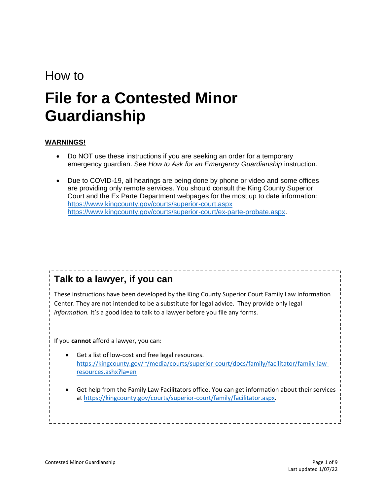# How to

# **File for a Contested Minor Guardianship**

#### **WARNINGS!**

- Do NOT use these instructions if you are seeking an order for a temporary emergency guardian. See *How to Ask for an Emergency Guardianship* instruction.
- Due to COVID-19, all hearings are being done by phone or video and some offices are providing only remote services. You should consult the King County Superior Court and the Ex Parte Department webpages for the most up to date information: <https://www.kingcounty.gov/courts/superior-court.aspx> [https://www.kingcounty.gov/courts/superior-court/ex-parte-probate.aspx.](https://www.kingcounty.gov/courts/superior-court/ex-parte-probate.aspx)

# **Talk to a lawyer, if you can**

These instructions have been developed by the King County Superior Court Family Law Information Center. They are not intended to be a substitute for legal advice. They provide only legal *information.* It's a good idea to talk to a lawyer before you file any forms.

If you **cannot** afford a lawyer, you can:

- Get a list of low-cost and free legal resources. [https://kingcounty.gov/~/media/courts/superior-court/docs/family/facilitator/family-law](https://kingcounty.gov/~/media/courts/superior-court/docs/family/facilitator/family-law-resources.ashx?la=en)[resources.ashx?la=en](https://kingcounty.gov/~/media/courts/superior-court/docs/family/facilitator/family-law-resources.ashx?la=en)
- Get help from the Family Law Facilitators office. You can get information about their services at [https://kingcounty.gov/courts/superior-court/family/facilitator.aspx.](https://kingcounty.gov/courts/superior-court/family/facilitator.aspx)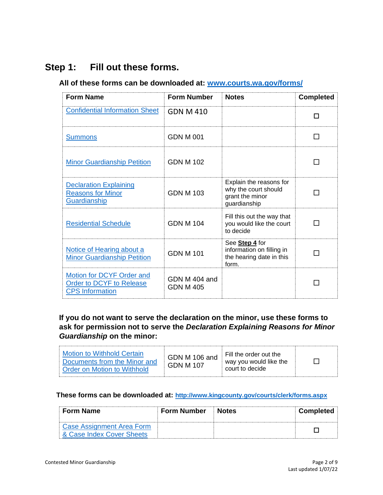# **Step 1: Fill out these forms.**

## **All of these forms can be downloaded at: [www.courts.wa.gov/forms/](http://www.courts.wa.gov/forms/)**

| <b>Form Name</b>                                                                | <b>Form Number</b>         | <b>Notes</b>                                                                       | <b>Completed</b>         |
|---------------------------------------------------------------------------------|----------------------------|------------------------------------------------------------------------------------|--------------------------|
| <b>Confidential Information Sheet</b>                                           | <b>GDN M 410</b>           |                                                                                    | П                        |
| <b>Summons</b>                                                                  | <b>GDN M 001</b>           |                                                                                    | $\overline{\phantom{a}}$ |
| <b>Minor Guardianship Petition</b>                                              | <b>GDN M 102</b>           |                                                                                    |                          |
| <b>Declaration Explaining</b><br><b>Reasons for Minor</b><br>Guardianship       | <b>GDN M 103</b>           | Explain the reasons for<br>why the court should<br>grant the minor<br>guardianship |                          |
| <b>Residential Schedule</b>                                                     | <b>GDN M 104</b>           | Fill this out the way that<br>you would like the court<br>to decide                |                          |
| Notice of Hearing about a<br><b>Minor Guardianship Petition</b>                 | <b>GDN M 101</b>           | See Step 4 for<br>information on filling in<br>the hearing date in this<br>form.   |                          |
| Motion for DCYF Order and<br>Order to DCYF to Release<br><b>CPS</b> Information | GDN M 404 and<br>GDN M 405 |                                                                                    |                          |

# **If you do not want to serve the declaration on the minor, use these forms to ask for permission not to serve the** *Declaration Explaining Reasons for Minor Guardianship* **on the minor:**

| Motion to Withhold Certain<br>Documents from the Minor and<br>Order on Motion to Withhold | GDN M 106 and<br>GDN M 107 | Fill the order out the<br>way you would like the<br>court to decide |  |
|-------------------------------------------------------------------------------------------|----------------------------|---------------------------------------------------------------------|--|
|-------------------------------------------------------------------------------------------|----------------------------|---------------------------------------------------------------------|--|

#### **These forms can be downloaded at: <http://www.kingcounty.gov/courts/clerk/forms.aspx>**

| <b>Form Name</b>          | <b>Form Number</b> | ∣ Notes | <b>Completed</b> |
|---------------------------|--------------------|---------|------------------|
| Case Assignment Area Form |                    |         |                  |
| & Case Index Cover Sheets |                    |         |                  |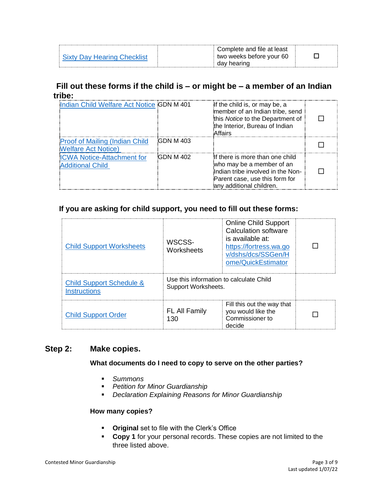| าวv Hearing ( | Complete and file at least<br>two weeks before your 60 |  |
|---------------|--------------------------------------------------------|--|
|               | aav                                                    |  |

# **Fill out these forms if the child is – or might be – a member of an Indian tribe:**

| Indian Child Welfare Act Notice GDN M 401                            |                  | If the child is, or may be, a<br>member of an Indian tribe, send<br>this Notice to the Department of<br>the Interior, Bureau of Indian<br>Affairs               |  |
|----------------------------------------------------------------------|------------------|-----------------------------------------------------------------------------------------------------------------------------------------------------------------|--|
| <b>Proof of Mailing (Indian Child)</b><br><b>Welfare Act Notice)</b> | <b>GDN M 403</b> |                                                                                                                                                                 |  |
| <b>ICWA Notice-Attachment for</b><br><b>Additional Child</b>         | GDN M 402        | If there is more than one child<br>who may be a member of an<br>Indian tribe involved in the Non-<br>Parent case, use this form for<br>anv additional children. |  |

# **If you are asking for child support, you need to fill out these forms:**

| <b>Child Support Worksheets</b>                            | WSCSS-<br>Worksheets                                           | <b>Online Child Support</b><br>Calculation software<br>is available at:<br>https://fortress.wa.go<br>v/dshs/dcs/SSGen/H<br>ome/QuickEstimator |  |
|------------------------------------------------------------|----------------------------------------------------------------|-----------------------------------------------------------------------------------------------------------------------------------------------|--|
| <b>Child Support Schedule &amp;</b><br><b>Instructions</b> | Use this information to calculate Child<br>Support Worksheets. |                                                                                                                                               |  |
| <b>Child Support Order</b>                                 | <b>FL All Family</b><br>130                                    | Fill this out the way that<br>you would like the<br>Commissioner to<br>decide                                                                 |  |

# **Step 2: Make copies.**

#### **What documents do I need to copy to serve on the other parties?**

- *Summons*
- *Petition for Minor Guardianship*
- *Declaration Explaining Reasons for Minor Guardianship*

#### **How many copies?**

- **Original** set to file with the Clerk's Office
- **Copy 1** for your personal records. These copies are not limited to the three listed above.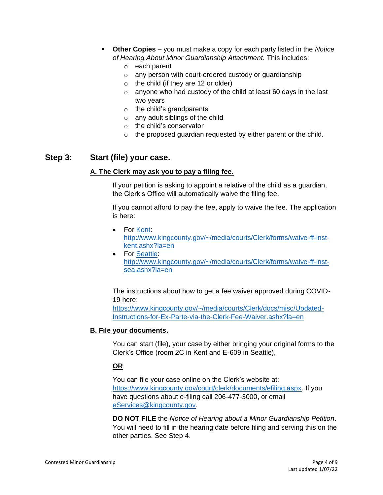- **Other Copies**  you must make a copy for each party listed in the *Notice of Hearing About Minor Guardianship Attachment.* This includes:
	- o each parent
	- o any person with court-ordered custody or guardianship
	- $\circ$  the child (if they are 12 or older)
	- $\circ$  anyone who had custody of the child at least 60 days in the last two years
	- $\circ$  the child's grandparents
	- o any adult siblings of the child
	- o the child's conservator
	- o the proposed guardian requested by either parent or the child.

## **Step 3: Start (file) your case.**

#### **A. The Clerk may ask you to pay a filing fee.**

If your petition is asking to appoint a relative of the child as a guardian, the Clerk's Office will automatically waive the filing fee.

If you cannot afford to pay the fee, apply to waive the fee. The application is here:

- For [Kent:](file://///scstore/common/ERCM-FLIC/Instructions%20&%20Forms/AUG2020%20FLIC%20INSTRUCTION%20REVIEW/Kent) [http://www.kingcounty.gov/~/media/courts/Clerk/forms/waive-ff-inst](http://www.kingcounty.gov/~/media/courts/Clerk/forms/waive-ff-inst-kent.ashx?la=en)[kent.ashx?la=en](http://www.kingcounty.gov/~/media/courts/Clerk/forms/waive-ff-inst-kent.ashx?la=en)
- For [Seattle:](file://///scstore/common/ERCM-FLIC/Instructions%20&%20Forms/AUG2020%20FLIC%20INSTRUCTION%20REVIEW/Seattle) [http://www.kingcounty.gov/~/media/courts/Clerk/forms/waive-ff-inst](http://www.kingcounty.gov/~/media/courts/Clerk/forms/waive-ff-inst-sea.ashx?la=en)[sea.ashx?la=en](http://www.kingcounty.gov/~/media/courts/Clerk/forms/waive-ff-inst-sea.ashx?la=en)

#### The instructions about how to get a fee waiver approved during COVID-19 here:

[https://www.kingcounty.gov/~/media/courts/Clerk/docs/misc/Updated-](https://www.kingcounty.gov/~/media/courts/Clerk/docs/misc/Updated-Instructions-for-Ex-Parte-via-the-Clerk-Fee-Waiver.ashx?la=en)[Instructions-for-Ex-Parte-via-the-Clerk-Fee-Waiver.ashx?la=en](https://www.kingcounty.gov/~/media/courts/Clerk/docs/misc/Updated-Instructions-for-Ex-Parte-via-the-Clerk-Fee-Waiver.ashx?la=en)

#### **B. File your documents.**

You can start (file), your case by either bringing your original forms to the Clerk's Office (room 2C in Kent and E-609 in Seattle),

#### **OR**

You can file your case online on the Clerk's website at: [https://www.kingcounty.gov/court/clerk/documents/efiling.aspx.](https://www.kingcounty.gov/court/clerk/documents/efiling.aspx) If you have questions about e-filing call 206-477-3000, or email [eServices@kingcounty.gov.](mailto:eServices@kingcounty.gov)

**DO NOT FILE** the *Notice of Hearing about a Minor Guardianship Petition*. You will need to fill in the hearing date before filing and serving this on the other parties. See Step 4.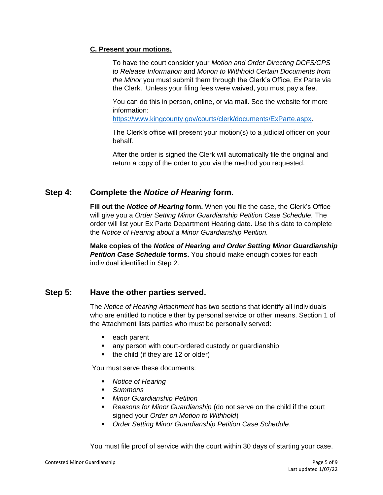#### **C. Present your motions.**

To have the court consider your *Motion and Order Directing DCFS/CPS to Release Information* and *Motion to Withhold Certain Documents from the Minor* you must submit them through the Clerk's Office, Ex Parte via the Clerk. Unless your filing fees were waived, you must pay a fee.

You can do this in person, online, or via mail. See the website for more information:

[https://www.kingcounty.gov/courts/clerk/documents/ExParte.aspx.](https://www.kingcounty.gov/courts/clerk/documents/ExParte.aspx)

The Clerk's office will present your motion(s) to a judicial officer on your behalf.

After the order is signed the Clerk will automatically file the original and return a copy of the order to you via the method you requested.

# **Step 4: Complete the** *Notice of Hearing* **form.**

**Fill out the** *Notice of Hearing* **form.** When you file the case, the Clerk's Office will give you a *Order Setting Minor Guardianship Petition Case Schedule.* The order will list your Ex Parte Department Hearing date. Use this date to complete the *Notice of Hearing about a Minor Guardianship Petition.*

**Make copies of the** *Notice of Hearing and Order Setting Minor Guardianship*  **Petition Case Schedule forms.** You should make enough copies for each individual identified in Step 2.

## **Step 5: Have the other parties served.**

The *Notice of Hearing Attachment* has two sections that identify all individuals who are entitled to notice either by personal service or other means. Section 1 of the Attachment lists parties who must be personally served:

- each parent
- any person with court-ordered custody or guardianship
- the child (if they are 12 or older)

You must serve these documents:

- *Notice of Hearing*
- *Summons*
- *Minor Guardianship Petition*
- *Reasons for Minor Guardianship* (do not serve on the child if the court signed your *Order on Motion to Withhold*)
- **Order Setting Minor Guardianship Petition Case Schedule.**

You must file proof of service with the court within 30 days of starting your case.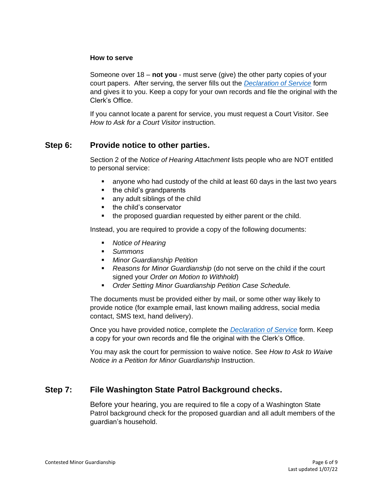#### **How to serve**

Someone over 18 – **not you** - must serve (give) the other party copies of your court papers. After serving, the server fills out the *[Declaration of Service](https://www.courts.wa.gov/forms/documents/GDN%2004%200850%20Decl%20of%20Service%202018%2010.doc)* form and gives it to you. Keep a copy for your own records and file the original with the Clerk's Office.

If you cannot locate a parent for service, you must request a Court Visitor. See *How to Ask for a Court Visitor* instruction.

## **Step 6: Provide notice to other parties.**

Section 2 of the *Notice of Hearing Attachment* lists people who are NOT entitled to personal service:

- anyone who had custody of the child at least 60 days in the last two years
- the child's grandparents
- any adult siblings of the child
- the child's conservator
- the proposed guardian requested by either parent or the child.

Instead, you are required to provide a copy of the following documents:

- *Notice of Hearing*
- *Summons*
- *Minor Guardianship Petition*
- *Reasons for Minor Guardianship* (do not serve on the child if the court signed your *Order on Motion to Withhold*)
- **Order Setting Minor Guardianship Petition Case Schedule.**

The documents must be provided either by mail, or some other way likely to provide notice (for example email, last known mailing address, social media contact, SMS text, hand delivery).

Once you have provided notice, complete the *[Declaration of Service](https://www.courts.wa.gov/forms/documents/GDN%2004%200850%20Decl%20of%20Service%202018%2010.doc)* form. Keep a copy for your own records and file the original with the Clerk's Office.

You may ask the court for permission to waive notice. See *How to Ask to Waive Notice in a Petition for Minor Guardianship* Instruction.

# **Step 7: File Washington State Patrol Background checks.**

Before your hearing, you are required to file a copy of a Washington State Patrol background check for the proposed guardian and all adult members of the guardian's household.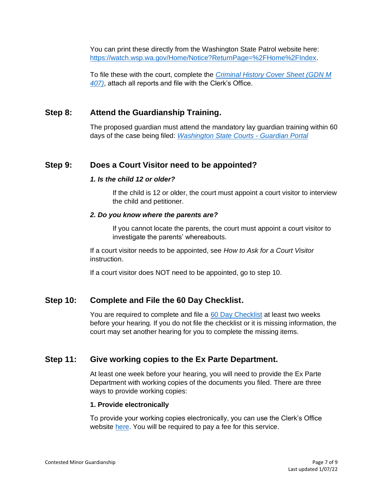You can print these directly from the Washington State Patrol website here: [https://watch.wsp.wa.gov/Home/Notice?ReturnPage=%2FHome%2FIndex.](https://watch.wsp.wa.gov/Home/Notice?ReturnPage=%2FHome%2FIndex)

To file these with the court, complete the *[Criminal History Cover Sheet \(GDN M](https://www.courts.wa.gov/forms/documents/GDN%20M%20407%20Criminal%20History%20Record%20Cover%20Sheet.pdf)  [407\)](https://www.courts.wa.gov/forms/documents/GDN%20M%20407%20Criminal%20History%20Record%20Cover%20Sheet.pdf)*, attach all reports and file with the Clerk's Office.

# **Step 8: Attend the Guardianship Training.**

The proposed guardian must attend the mandatory lay guardian training within 60 days of the case being filed: *[Washington State Courts -](https://www.courts.wa.gov/guardianportal/index.cfm?fa=guardianportal.title11minor) Guardian Portal*

# **Step 9: Does a Court Visitor need to be appointed?**

#### *1. Is the child 12 or older?*

If the child is 12 or older, the court must appoint a court visitor to interview the child and petitioner.

#### *2. Do you know where the parents are?*

If you cannot locate the parents, the court must appoint a court visitor to investigate the parents' whereabouts.

If a court visitor needs to be appointed, see *How to Ask for a Court Visitor*  instruction.

If a court visitor does NOT need to be appointed, go to step 10.

# **Step 10: Complete and File the 60 Day Checklist.**

You are required to complete and file a [60 Day Checklist](https://kingcounty.gov/~/media/courts/Clerk/forms/60-day-checklist.ashx?la=en) at least two weeks before your hearing. If you do not file the checklist or it is missing information, the court may set another hearing for you to complete the missing items.

## **Step 11: Give working copies to the Ex Parte Department.**

At least one week before your hearing, you will need to provide the Ex Parte Department with working copies of the documents you filed. There are three ways to provide working copies:

#### **1. Provide electronically**

To provide your working copies electronically, you can use the Clerk's Office website [here.](https://kingcounty.gov/courts/clerk/documents/eWC.aspx) You will be required to pay a fee for this service.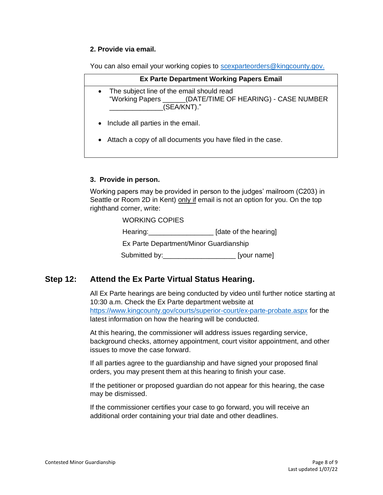#### **2. Provide via email.**

You can also email your working copies to [scexparteorders@kingcounty.gov.](mailto:scexparteorders@kingcounty.gov)

| <b>Ex Parte Department Working Papers Email</b>                                                                                     |  |  |
|-------------------------------------------------------------------------------------------------------------------------------------|--|--|
| The subject line of the email should read<br>$\bullet$<br>"Working Papers ______(DATE/TIME OF HEARING) - CASE NUMBER<br>(SEA/KNT)." |  |  |
| • Include all parties in the email.                                                                                                 |  |  |
| Attach a copy of all documents you have filed in the case.<br>$\bullet$                                                             |  |  |

#### **3. Provide in person.**

Working papers may be provided in person to the judges' mailroom (C203) in Seattle or Room 2D in Kent) only if email is not an option for you. On the top righthand corner, write:

| <b>WORKING COPIES</b>                  |                       |
|----------------------------------------|-----------------------|
| Hearing: <u>_____________</u>          | [date of the hearing] |
| Ex Parte Department/Minor Guardianship |                       |
| Submitted by:                          | [your name]           |

# **Step 12: Attend the Ex Parte Virtual Status Hearing.**

All Ex Parte hearings are being conducted by video until further notice starting at 10:30 a.m. Check the Ex Parte department website at <https://www.kingcounty.gov/courts/superior-court/ex-parte-probate.aspx> for the latest information on how the hearing will be conducted.

At this hearing, the commissioner will address issues regarding service, background checks, attorney appointment, court visitor appointment, and other issues to move the case forward.

If all parties agree to the guardianship and have signed your proposed final orders, you may present them at this hearing to finish your case.

If the petitioner or proposed guardian do not appear for this hearing, the case may be dismissed.

If the commissioner certifies your case to go forward, you will receive an additional order containing your trial date and other deadlines.